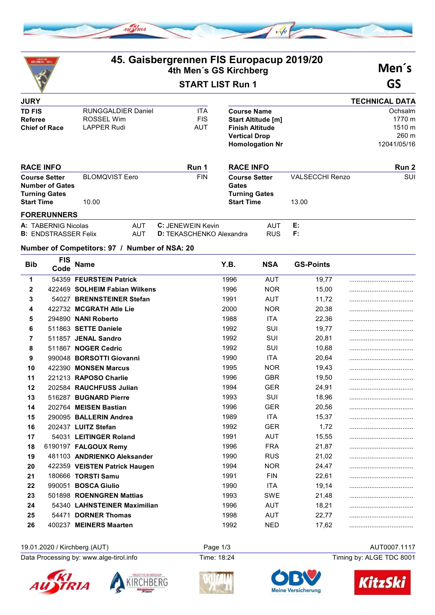

| SKIKLUB<br>ICHBERG TIRO                        |                       | 45. Gaisbergrennen FIS Europacup 2019/20<br>4th Men's GS Kirchberg |                          |                                           |                           | Men's                  |                       |
|------------------------------------------------|-----------------------|--------------------------------------------------------------------|--------------------------|-------------------------------------------|---------------------------|------------------------|-----------------------|
|                                                |                       |                                                                    | <b>START LIST Run 1</b>  |                                           |                           |                        | GS                    |
| <b>JURY</b>                                    |                       |                                                                    |                          |                                           |                           |                        | <b>TECHNICAL DATA</b> |
| <b>TD FIS</b>                                  |                       | <b>RUNGGALDIER Daniel</b>                                          | <b>ITA</b>               | <b>Course Name</b>                        |                           |                        | Ochsalm               |
| Referee                                        | <b>ROSSEL Wim</b>     |                                                                    | <b>FIS</b>               |                                           | <b>Start Altitude [m]</b> |                        | 1770 m                |
| <b>Chief of Race</b>                           | <b>LAPPER Rudi</b>    |                                                                    | <b>AUT</b>               | <b>Finish Altitude</b>                    |                           |                        | 1510 m                |
|                                                |                       |                                                                    |                          | <b>Vertical Drop</b>                      |                           |                        | 260 m                 |
|                                                |                       |                                                                    |                          |                                           | <b>Homologation Nr</b>    |                        | 12041/05/16           |
| <b>RACE INFO</b>                               |                       |                                                                    | Run 1                    | <b>RACE INFO</b>                          |                           |                        | Run 2                 |
| <b>Course Setter</b><br><b>Number of Gates</b> | <b>BLOMQVIST Eero</b> |                                                                    | <b>FIN</b>               | <b>Course Setter</b><br>Gates             |                           | <b>VALSECCHI Renzo</b> | SUI                   |
| <b>Turning Gates</b><br><b>Start Time</b>      | 10.00                 |                                                                    |                          | <b>Turning Gates</b><br><b>Start Time</b> |                           | 13.00                  |                       |
| <b>FORERUNNERS</b>                             |                       |                                                                    |                          |                                           |                           |                        |                       |
| A: TABERNIG Nicolas                            |                       | <b>AUT</b>                                                         | C: JFNFWFIN Kevin        |                                           | <b>AUT</b>                | E:                     |                       |
| <b>B: ENDSTRASSER Felix</b>                    |                       | <b>AUT</b>                                                         | D: TEKASCHENKO Alexandra |                                           | <b>RUS</b>                | F:                     |                       |
| Number of Competitors: 97 / Number of NSA: 20  |                       |                                                                    |                          |                                           |                           |                        |                       |
| <b>FIS</b><br><b>Bib</b><br>Code               | <b>Name</b>           |                                                                    |                          | Y.B.                                      | <b>NSA</b>                | <b>GS-Points</b>       |                       |

| <b>DID</b>   | Code | name                          | 1.D. | NSA        | GS-POINtS |  |
|--------------|------|-------------------------------|------|------------|-----------|--|
| 1            |      | 54359 FEURSTEIN Patrick       | 1996 | <b>AUT</b> | 19,77     |  |
| $\mathbf{2}$ |      | 422469 SOLHEIM Fabian Wilkens | 1996 | <b>NOR</b> | 15,00     |  |
| 3            |      | 54027 BRENNSTEINER Stefan     | 1991 | AUT        | 11,72     |  |
| 4            |      | 422732 MCGRATH Atle Lie       | 2000 | <b>NOR</b> | 20,38     |  |
| 5            |      | 294890 NANI Roberto           | 1988 | <b>ITA</b> | 22,36     |  |
| 6            |      | 511863 SETTE Daniele          | 1992 | SUI        | 19,77     |  |
| 7            |      | 511857 JENAL Sandro           | 1992 | SUI        | 20,81     |  |
| 8            |      | 511867 NOGER Cedric           | 1992 | SUI        | 10,68     |  |
| 9            |      | 990048 BORSOTTI Giovanni      | 1990 | <b>ITA</b> | 20,64     |  |
| 10           |      | 422390 MONSEN Marcus          | 1995 | <b>NOR</b> | 19,43     |  |
| 11           |      | 221213 RAPOSO Charlie         | 1996 | <b>GBR</b> | 19,50     |  |
| 12           |      | 202584 RAUCHFUSS Julian       | 1994 | <b>GER</b> | 24,91     |  |
| 13           |      | 516287 BUGNARD Pierre         | 1993 | SUI        | 18,96     |  |
| 14           |      | 202764 MEISEN Bastian         | 1996 | <b>GER</b> | 20,56     |  |
| 15           |      | 290095 BALLERIN Andrea        | 1989 | <b>ITA</b> | 15,37     |  |
| 16           |      | 202437 LUITZ Stefan           | 1992 | <b>GER</b> | 1,72      |  |
| 17           |      | 54031 LEITINGER Roland        | 1991 | <b>AUT</b> | 15,55     |  |
| 18           |      | 6190197 FALGOUX Remy          | 1996 | <b>FRA</b> | 21,87     |  |
| 19           |      | 481103 ANDRIENKO Aleksander   | 1990 | <b>RUS</b> | 21,02     |  |
| 20           |      | 422359 VEISTEN Patrick Haugen | 1994 | <b>NOR</b> | 24,47     |  |
| 21           |      | 180666 TORSTI Samu            | 1991 | <b>FIN</b> | 22,61     |  |
| 22           |      | 990051 BOSCA Giulio           | 1990 | <b>ITA</b> | 19,14     |  |
| 23           |      | 501898 ROENNGREN Mattias      | 1993 | <b>SWE</b> | 21,48     |  |
| 24           |      | 54340 LAHNSTEINER Maximilian  | 1996 | <b>AUT</b> | 18,21     |  |
| 25           |      | 54471 DORNER Thomas           | 1998 | <b>AUT</b> | 22,77     |  |
| 26           |      | 400237 MEINERS Maarten        | 1992 | <b>NED</b> | 17,62     |  |
|              |      |                               |      |            |           |  |

## 19.01.2020 / Kirchberg (AUT) Page 1/3 AUT0007.1117<br>Data Processing by: www.alge-tirol.info Time: 18:24 Time: 18:24 Timing by: ALGE TDC 8001

Data Processing by: www.alge-tirol.info Time: 18:24









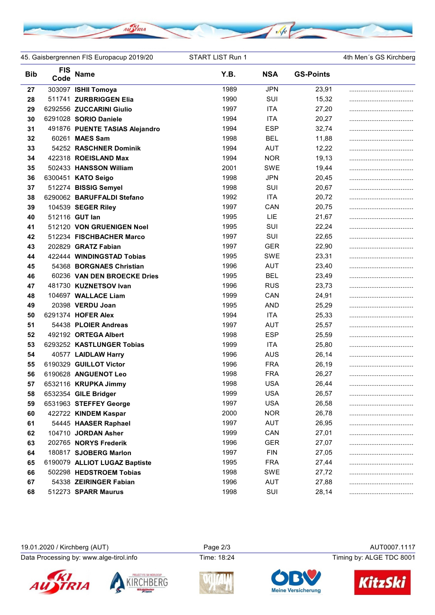

45. Gaisbergrennen FIS Europacup 2019/20 START LIST Run 1 4th Men's GS Kirchberg

| <b>Bib</b> | <b>FIS</b><br>Code | Name                           | Y.B. | <b>NSA</b> | <b>GS-Points</b> |  |
|------------|--------------------|--------------------------------|------|------------|------------------|--|
| 27         |                    | 303097 ISHII Tomoya            | 1989 | <b>JPN</b> | 23,91            |  |
| 28         |                    | 511741 ZURBRIGGEN Elia         | 1990 | SUI        | 15,32            |  |
| 29         |                    | 6292556 ZUCCARINI Giulio       | 1997 | <b>ITA</b> | 27,20            |  |
| 30         |                    | 6291028 SORIO Daniele          | 1994 | <b>ITA</b> | 20,27            |  |
| 31         |                    | 491876 PUENTE TASIAS Alejandro | 1994 | <b>ESP</b> | 32,74            |  |
| 32         |                    | 60261 MAES Sam                 | 1998 | <b>BEL</b> | 11,88            |  |
| 33         |                    | 54252 RASCHNER Dominik         | 1994 | <b>AUT</b> | 12,22            |  |
| 34         |                    | 422318 ROEISLAND Max           | 1994 | <b>NOR</b> | 19,13            |  |
| 35         |                    | 502433 HANSSON William         | 2001 | <b>SWE</b> | 19,44            |  |
| 36         |                    | 6300451 KATO Seigo             | 1998 | <b>JPN</b> | 20,45            |  |
| 37         |                    | 512274 BISSIG Semyel           | 1998 | SUI        | 20,67            |  |
| 38         |                    | 6290062 BARUFFALDI Stefano     | 1992 | <b>ITA</b> | 20,72            |  |
| 39         |                    | 104539 SEGER Riley             | 1997 | CAN        | 20,75            |  |
| 40         |                    | 512116 GUT lan                 | 1995 | LIE        | 21,67            |  |
| 41         |                    | 512120 VON GRUENIGEN Noel      | 1995 | SUI        | 22,24            |  |
| 42         |                    | 512234 FISCHBACHER Marco       | 1997 | SUI        | 22,65            |  |
| 43         |                    | 202829 GRATZ Fabian            | 1997 | <b>GER</b> | 22,90            |  |
| 44         |                    | 422444 WINDINGSTAD Tobias      | 1995 | <b>SWE</b> | 23,31            |  |
| 45         |                    | 54368 BORGNAES Christian       | 1996 | <b>AUT</b> | 23,40            |  |
| 46         |                    | 60236 VAN DEN BROECKE Dries    | 1995 | <b>BEL</b> | 23,49            |  |
| 47         |                    | 481730 KUZNETSOV Ivan          | 1996 | <b>RUS</b> | 23,73            |  |
| 48         |                    | 104697 WALLACE Liam            | 1999 | CAN        | 24,91            |  |
| 49         |                    | 20398 VERDU Joan               | 1995 | <b>AND</b> | 25,29            |  |
| 50         |                    | 6291374 HOFER Alex             | 1994 | <b>ITA</b> | 25,33            |  |
| 51         |                    | 54438 PLOIER Andreas           | 1997 | <b>AUT</b> | 25,57            |  |
| 52         |                    | 492192 ORTEGA Albert           | 1998 | <b>ESP</b> | 25,59            |  |
| 53         |                    | 6293252 KASTLUNGER Tobias      | 1999 | <b>ITA</b> | 25,80            |  |
| 54         |                    | 40577 LAIDLAW Harry            | 1996 | <b>AUS</b> | 26,14            |  |
| 55         |                    | 6190329 GUILLOT Victor         | 1996 | <b>FRA</b> | 26,19            |  |
| 56         |                    | 6190628 ANGUENOT Leo           | 1998 | <b>FRA</b> | 26,27            |  |
| 57         |                    | 6532116 KRUPKA Jimmy           | 1998 | <b>USA</b> | 26,44            |  |
| 58         |                    | 6532354 GILE Bridger           | 1999 | <b>USA</b> | 26,57            |  |
| 59         |                    | 6531963 STEFFEY George         | 1997 | <b>USA</b> | 26,58            |  |
| 60         |                    | 422722 KINDEM Kaspar           | 2000 | <b>NOR</b> | 26,78            |  |
| 61         |                    | 54445 HAASER Raphael           | 1997 | <b>AUT</b> | 26,95            |  |
| 62         |                    | 104710 JORDAN Asher            | 1999 | CAN        | 27,01            |  |
| 63         |                    | 202765 NORYS Frederik          | 1996 | <b>GER</b> | 27,07            |  |
| 64         |                    | 180817 SJOBERG Marlon          | 1997 | <b>FIN</b> | 27,05            |  |
| 65         |                    | 6190079 ALLIOT LUGAZ Baptiste  | 1995 | <b>FRA</b> | 27,44            |  |
| 66         |                    | 502298 HEDSTROEM Tobias        | 1998 | SWE        | 27,72            |  |
| 67         |                    | 54338 ZEIRINGER Fabian         | 1996 | AUT        | 27,88            |  |
| 68         |                    | 512273 SPARR Maurus            | 1998 | SUI        | 28,14            |  |

| 19.01.2020 / Kirchberg (AUT)            | Page 2/3    | AUT0007.1117                     |                          |  |
|-----------------------------------------|-------------|----------------------------------|--------------------------|--|
| Data Processing by: www.alge-tirol.info | Time: 18:24 |                                  | Timing by: ALGE TDC 8001 |  |
| KI<br><b>AU STRIA</b>                   |             | OBV<br><b>Meine Versicherung</b> | KitzSki                  |  |